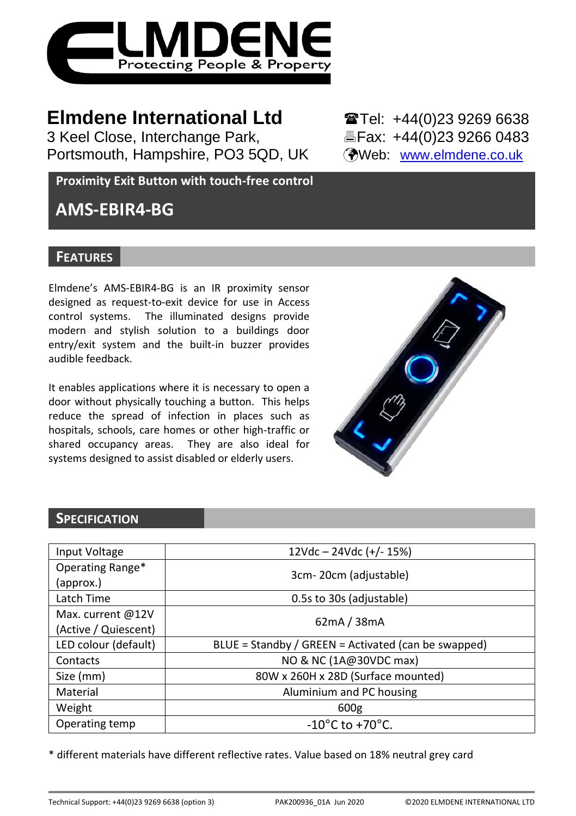

3 Keel Close, Interchange Park, Portsmouth, Hampshire, PO3 5QD, UK (Web: [www.elmdene.co.uk](http://www.elmdene.co.uk/))

**Elmdene International Ltd** 27 Tel: +44(0)23 9269 6638<br>3 Keel Close, Interchange Park.<br><sup>3</sup> Fax: +44(0)23 9266 0483

**Proximity Exit Button with touch-free control**

# **AMS-EBIR4-BG**

## **FEATURES**

Elmdene's AMS-EBIR4-BG is an IR proximity sensor designed as request-to-exit device for use in Access control systems. The illuminated designs provide modern and stylish solution to a buildings door entry/exit system and the built-in buzzer provides audible feedback.

It enables applications where it is necessary to open a door without physically touching a button. This helps reduce the spread of infection in places such as hospitals, schools, care homes or other high-traffic or shared occupancy areas. They are also ideal for systems designed to assist disabled or elderly users.



## **SPECIFICATION**

| Input Voltage        | $12Vdc - 24Vdc (+/- 15%)$                           |  |
|----------------------|-----------------------------------------------------|--|
| Operating Range*     | 3cm-20cm (adjustable)                               |  |
| (approx.)            |                                                     |  |
| Latch Time           | 0.5s to 30s (adjustable)                            |  |
| Max. current @12V    | 62mA / 38mA                                         |  |
| (Active / Quiescent) |                                                     |  |
| LED colour (default) | BLUE = Standby / GREEN = Activated (can be swapped) |  |
| Contacts             | NO & NC (1A@30VDC max)                              |  |
| Size (mm)            | 80W x 260H x 28D (Surface mounted)                  |  |
| Material             | Aluminium and PC housing                            |  |
| Weight               | 600g                                                |  |
| Operating temp       | $-10^{\circ}$ C to $+70^{\circ}$ C.                 |  |

\* different materials have different reflective rates. Value based on 18% neutral grey card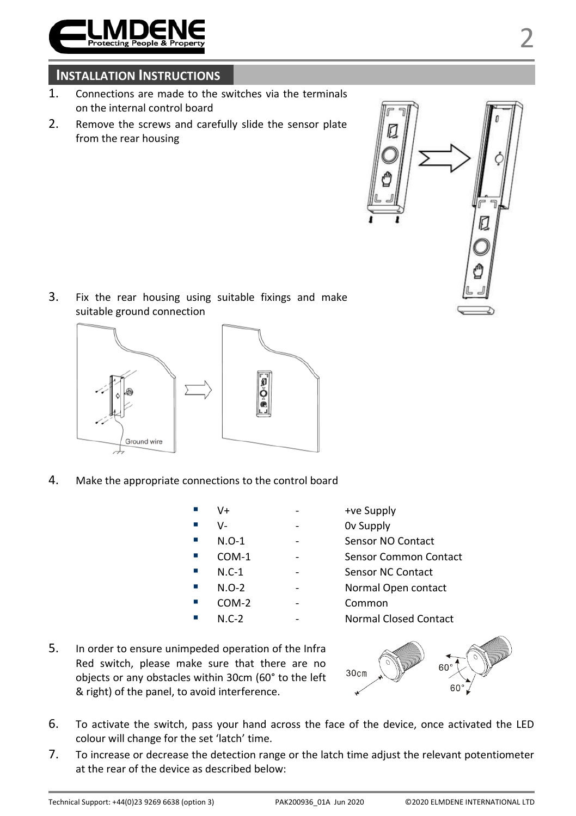

## **INSTALLATION INSTRUCTIONS**

- 1. Connections are made to the switches via the terminals on the internal control board
- 2. Remove the screws and carefully slide the sensor plate from the rear housing



3. Fix the rear housing using suitable fixings and make suitable ground connection



4. Make the appropriate connections to the control board

| V+      | +ve Supply            |
|---------|-----------------------|
| v-      | Ov Supply             |
| $N.O-1$ | Sensor NO Contact     |
| $COM-1$ | Sensor Common Contact |
| $N.C-1$ | Sensor NC Contact     |
| $N.O-2$ | Normal Open contact   |
| COM-2   | Common                |
| $N.C-2$ | Normal Closed Contact |
|         |                       |

5. In order to ensure unimpeded operation of the Infra Red switch, please make sure that there are no objects or any obstacles within 30cm (60° to the left & right) of the panel, to avoid interference.



- 6. To activate the switch, pass your hand across the face of the device, once activated the LED colour will change for the set 'latch' time.
- 7. To increase or decrease the detection range or the latch time adjust the relevant potentiometer at the rear of the device as described below: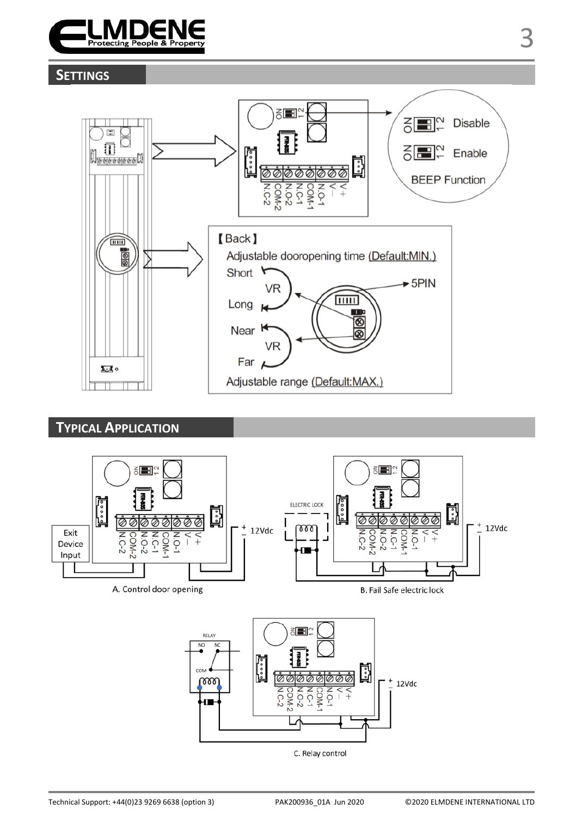

## **SETTINGS**



**TYPICAL APPLICATION**



C. Relay control